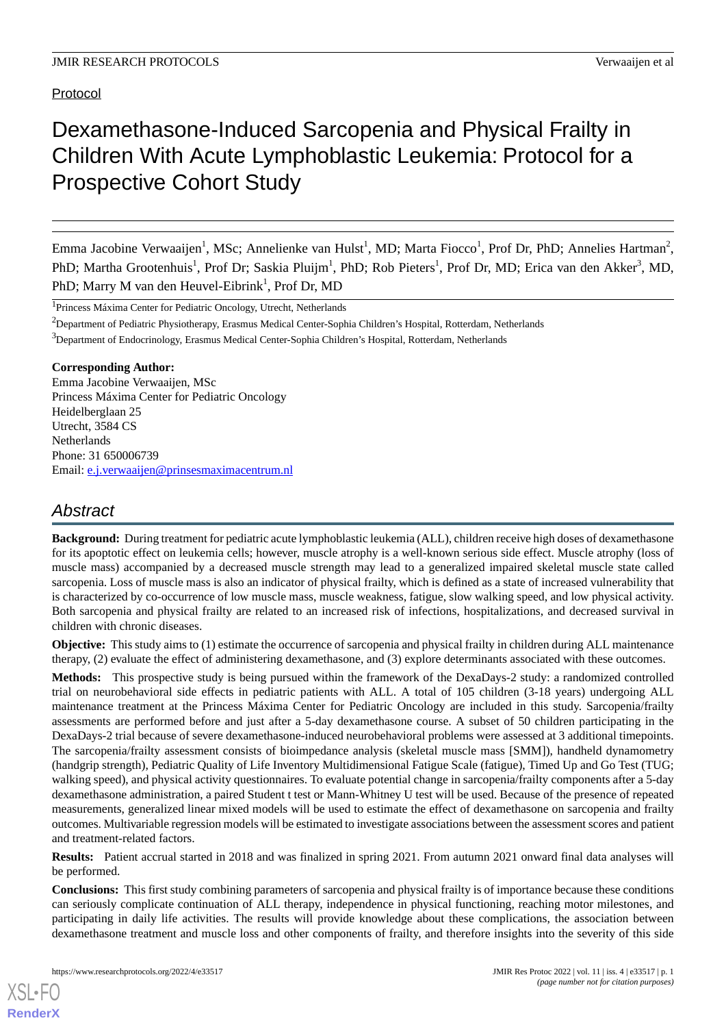Protocol

# Dexamethasone-Induced Sarcopenia and Physical Frailty in Children With Acute Lymphoblastic Leukemia: Protocol for a Prospective Cohort Study

Emma Jacobine Verwaaijen<sup>1</sup>, MSc; Annelienke van Hulst<sup>1</sup>, MD; Marta Fiocco<sup>1</sup>, Prof Dr, PhD; Annelies Hartman<sup>2</sup>, PhD; Martha Grootenhuis<sup>1</sup>, Prof Dr; Saskia Pluijm<sup>1</sup>, PhD; Rob Pieters<sup>1</sup>, Prof Dr, MD; Erica van den Akker<sup>3</sup>, MD, PhD; Marry M van den Heuvel-Eibrink<sup>1</sup>, Prof Dr, MD

<sup>1</sup>Princess Máxima Center for Pediatric Oncology, Utrecht, Netherlands

<sup>2</sup>Department of Pediatric Physiotherapy, Erasmus Medical Center-Sophia Children's Hospital, Rotterdam, Netherlands

<sup>3</sup>Department of Endocrinology, Erasmus Medical Center-Sophia Children's Hospital, Rotterdam, Netherlands

#### **Corresponding Author:**

Emma Jacobine Verwaaijen, MSc Princess Máxima Center for Pediatric Oncology Heidelberglaan 25 Utrecht, 3584 CS Netherlands Phone: 31 650006739 Email: [e.j.verwaaijen@prinsesmaximacentrum.nl](mailto:e.j.verwaaijen@prinsesmaximacentrum.nl)

# *Abstract*

**Background:** During treatment for pediatric acute lymphoblastic leukemia (ALL), children receive high doses of dexamethasone for its apoptotic effect on leukemia cells; however, muscle atrophy is a well-known serious side effect. Muscle atrophy (loss of muscle mass) accompanied by a decreased muscle strength may lead to a generalized impaired skeletal muscle state called sarcopenia. Loss of muscle mass is also an indicator of physical frailty, which is defined as a state of increased vulnerability that is characterized by co-occurrence of low muscle mass, muscle weakness, fatigue, slow walking speed, and low physical activity. Both sarcopenia and physical frailty are related to an increased risk of infections, hospitalizations, and decreased survival in children with chronic diseases.

**Objective:** This study aims to (1) estimate the occurrence of sarcopenia and physical frailty in children during ALL maintenance therapy, (2) evaluate the effect of administering dexamethasone, and (3) explore determinants associated with these outcomes.

**Methods:** This prospective study is being pursued within the framework of the DexaDays-2 study: a randomized controlled trial on neurobehavioral side effects in pediatric patients with ALL. A total of 105 children (3-18 years) undergoing ALL maintenance treatment at the Princess Máxima Center for Pediatric Oncology are included in this study. Sarcopenia/frailty assessments are performed before and just after a 5-day dexamethasone course. A subset of 50 children participating in the DexaDays-2 trial because of severe dexamethasone-induced neurobehavioral problems were assessed at 3 additional timepoints. The sarcopenia/frailty assessment consists of bioimpedance analysis (skeletal muscle mass [SMM]), handheld dynamometry (handgrip strength), Pediatric Quality of Life Inventory Multidimensional Fatigue Scale (fatigue), Timed Up and Go Test (TUG; walking speed), and physical activity questionnaires. To evaluate potential change in sarcopenia/frailty components after a 5-day dexamethasone administration, a paired Student t test or Mann-Whitney U test will be used. Because of the presence of repeated measurements, generalized linear mixed models will be used to estimate the effect of dexamethasone on sarcopenia and frailty outcomes. Multivariable regression models will be estimated to investigate associations between the assessment scores and patient and treatment-related factors.

**Results:** Patient accrual started in 2018 and was finalized in spring 2021. From autumn 2021 onward final data analyses will be performed.

**Conclusions:** This first study combining parameters of sarcopenia and physical frailty is of importance because these conditions can seriously complicate continuation of ALL therapy, independence in physical functioning, reaching motor milestones, and participating in daily life activities. The results will provide knowledge about these complications, the association between dexamethasone treatment and muscle loss and other components of frailty, and therefore insights into the severity of this side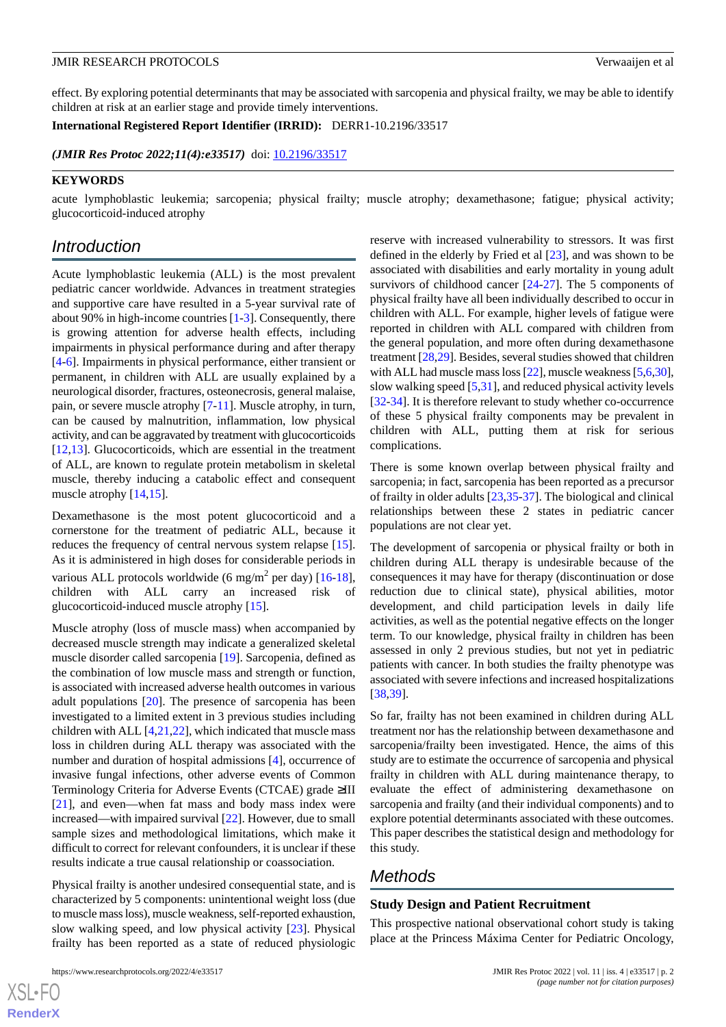effect. By exploring potential determinants that may be associated with sarcopenia and physical frailty, we may be able to identify children at risk at an earlier stage and provide timely interventions.

**International Registered Report Identifier (IRRID):** DERR1-10.2196/33517

*(JMIR Res Protoc 2022;11(4):e33517)* doi:  $10.2196/33517$ 

#### **KEYWORDS**

acute lymphoblastic leukemia; sarcopenia; physical frailty; muscle atrophy; dexamethasone; fatigue; physical activity; glucocorticoid-induced atrophy

# *Introduction*

Acute lymphoblastic leukemia (ALL) is the most prevalent pediatric cancer worldwide. Advances in treatment strategies and supportive care have resulted in a 5-year survival rate of about 90% in high-income countries [[1-](#page-7-0)[3\]](#page-7-1). Consequently, there is growing attention for adverse health effects, including impairments in physical performance during and after therapy [[4](#page-7-2)[-6](#page-7-3)]. Impairments in physical performance, either transient or permanent, in children with ALL are usually explained by a neurological disorder, fractures, osteonecrosis, general malaise, pain, or severe muscle atrophy [[7-](#page-7-4)[11](#page-7-5)]. Muscle atrophy, in turn, can be caused by malnutrition, inflammation, low physical activity, and can be aggravated by treatment with glucocorticoids [[12](#page-7-6)[,13](#page-7-7)]. Glucocorticoids, which are essential in the treatment of ALL, are known to regulate protein metabolism in skeletal muscle, thereby inducing a catabolic effect and consequent muscle atrophy [[14,](#page-7-8)[15](#page-7-9)].

Dexamethasone is the most potent glucocorticoid and a cornerstone for the treatment of pediatric ALL, because it reduces the frequency of central nervous system relapse [[15\]](#page-7-9). As it is administered in high doses for considerable periods in various ALL protocols worldwide (6 mg/m<sup>2</sup> per day) [\[16](#page-7-10)-[18\]](#page-7-11), children with ALL carry an increased risk of glucocorticoid-induced muscle atrophy [[15\]](#page-7-9).

Muscle atrophy (loss of muscle mass) when accompanied by decreased muscle strength may indicate a generalized skeletal muscle disorder called sarcopenia [\[19](#page-7-12)]. Sarcopenia, defined as the combination of low muscle mass and strength or function, is associated with increased adverse health outcomes in various adult populations [[20\]](#page-7-13). The presence of sarcopenia has been investigated to a limited extent in 3 previous studies including children with ALL  $[4,21,22]$  $[4,21,22]$  $[4,21,22]$  $[4,21,22]$  $[4,21,22]$ , which indicated that muscle mass loss in children during ALL therapy was associated with the number and duration of hospital admissions [[4\]](#page-7-2), occurrence of invasive fungal infections, other adverse events of Common Terminology Criteria for Adverse Events (CTCAE) grade ≥III [[21\]](#page-8-0), and even—when fat mass and body mass index were increased—with impaired survival [\[22](#page-8-1)]. However, due to small sample sizes and methodological limitations, which make it difficult to correct for relevant confounders, it is unclear if these results indicate a true causal relationship or coassociation.

Physical frailty is another undesired consequential state, and is characterized by 5 components: unintentional weight loss (due to muscle mass loss), muscle weakness, self-reported exhaustion, slow walking speed, and low physical activity [\[23](#page-8-2)]. Physical frailty has been reported as a state of reduced physiologic

[XSL](http://www.w3.org/Style/XSL)•FO **[RenderX](http://www.renderx.com/)**

reserve with increased vulnerability to stressors. It was first defined in the elderly by Fried et al [[23\]](#page-8-2), and was shown to be associated with disabilities and early mortality in young adult survivors of childhood cancer [\[24](#page-8-3)-[27\]](#page-8-4). The 5 components of physical frailty have all been individually described to occur in children with ALL. For example, higher levels of fatigue were reported in children with ALL compared with children from the general population, and more often during dexamethasone treatment [\[28](#page-8-5),[29\]](#page-8-6). Besides, several studies showed that children with ALL had muscle mass loss [\[22](#page-8-1)], muscle weakness [\[5](#page-7-14),[6,](#page-7-3)[30](#page-8-7)], slow walking speed  $[5,31]$  $[5,31]$  $[5,31]$  $[5,31]$ , and reduced physical activity levels [[32](#page-8-9)[-34](#page-8-10)]. It is therefore relevant to study whether co-occurrence of these 5 physical frailty components may be prevalent in children with ALL, putting them at risk for serious complications.

There is some known overlap between physical frailty and sarcopenia; in fact, sarcopenia has been reported as a precursor of frailty in older adults [[23](#page-8-2)[,35](#page-8-11)-[37\]](#page-8-12). The biological and clinical relationships between these 2 states in pediatric cancer populations are not clear yet.

The development of sarcopenia or physical frailty or both in children during ALL therapy is undesirable because of the consequences it may have for therapy (discontinuation or dose reduction due to clinical state), physical abilities, motor development, and child participation levels in daily life activities, as well as the potential negative effects on the longer term. To our knowledge, physical frailty in children has been assessed in only 2 previous studies, but not yet in pediatric patients with cancer. In both studies the frailty phenotype was associated with severe infections and increased hospitalizations [[38,](#page-8-13)[39\]](#page-8-14).

So far, frailty has not been examined in children during ALL treatment nor has the relationship between dexamethasone and sarcopenia/frailty been investigated. Hence, the aims of this study are to estimate the occurrence of sarcopenia and physical frailty in children with ALL during maintenance therapy, to evaluate the effect of administering dexamethasone on sarcopenia and frailty (and their individual components) and to explore potential determinants associated with these outcomes. This paper describes the statistical design and methodology for this study.

# *Methods*

## **Study Design and Patient Recruitment**

This prospective national observational cohort study is taking place at the Princess Máxima Center for Pediatric Oncology,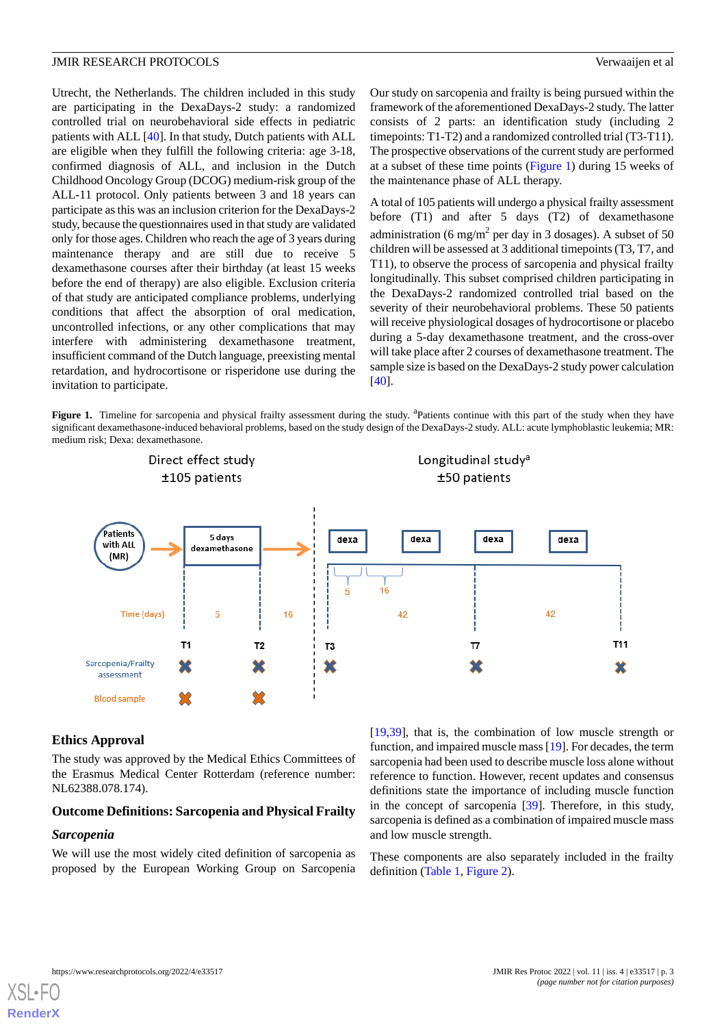Utrecht, the Netherlands. The children included in this study are participating in the DexaDays-2 study: a randomized controlled trial on neurobehavioral side effects in pediatric patients with ALL [[40\]](#page-8-15). In that study, Dutch patients with ALL are eligible when they fulfill the following criteria: age 3-18, confirmed diagnosis of ALL, and inclusion in the Dutch Childhood Oncology Group (DCOG) medium-risk group of the ALL-11 protocol. Only patients between 3 and 18 years can participate as this was an inclusion criterion for the DexaDays-2 study, because the questionnaires used in that study are validated only for those ages. Children who reach the age of 3 years during maintenance therapy and are still due to receive 5 dexamethasone courses after their birthday (at least 15 weeks before the end of therapy) are also eligible. Exclusion criteria of that study are anticipated compliance problems, underlying conditions that affect the absorption of oral medication, uncontrolled infections, or any other complications that may interfere with administering dexamethasone treatment, insufficient command of the Dutch language, preexisting mental retardation, and hydrocortisone or risperidone use during the invitation to participate.

Our study on sarcopenia and frailty is being pursued within the framework of the aforementioned DexaDays-2 study. The latter consists of 2 parts: an identification study (including 2 timepoints: T1-T2) and a randomized controlled trial (T3-T11). The prospective observations of the current study are performed at a subset of these time points ([Figure 1\)](#page-2-0) during 15 weeks of the maintenance phase of ALL therapy.

A total of 105 patients will undergo a physical frailty assessment before (T1) and after 5 days (T2) of dexamethasone administration (6 mg/m<sup>2</sup> per day in 3 dosages). A subset of 50 children will be assessed at 3 additional timepoints (T3, T7, and T11), to observe the process of sarcopenia and physical frailty longitudinally. This subset comprised children participating in the DexaDays-2 randomized controlled trial based on the severity of their neurobehavioral problems. These 50 patients will receive physiological dosages of hydrocortisone or placebo during a 5-day dexamethasone treatment, and the cross-over will take place after 2 courses of dexamethasone treatment. The sample size is based on the DexaDays-2 study power calculation [[40\]](#page-8-15).

<span id="page-2-0"></span>Figure 1. Timeline for sarcopenia and physical frailty assessment during the study. <sup>a</sup>Patients continue with this part of the study when they have significant dexamethasone-induced behavioral problems, based on the study design of the DexaDays-2 study. ALL: acute lymphoblastic leukemia; MR: medium risk; Dexa: dexamethasone.



## **Ethics Approval**

The study was approved by the Medical Ethics Committees of the Erasmus Medical Center Rotterdam (reference number: NL62388.078.174).

#### **Outcome Definitions: Sarcopenia and Physical Frailty**

#### *Sarcopenia*

We will use the most widely cited definition of sarcopenia as proposed by the European Working Group on Sarcopenia [[19,](#page-7-12)[39\]](#page-8-14), that is, the combination of low muscle strength or function, and impaired muscle mass [[19\]](#page-7-12). For decades, the term sarcopenia had been used to describe muscle loss alone without reference to function. However, recent updates and consensus definitions state the importance of including muscle function in the concept of sarcopenia [\[39](#page-8-14)]. Therefore, in this study, sarcopenia is defined as a combination of impaired muscle mass and low muscle strength.

These components are also separately included in the frailty definition [\(Table 1,](#page-3-0) [Figure 2](#page-3-1)).

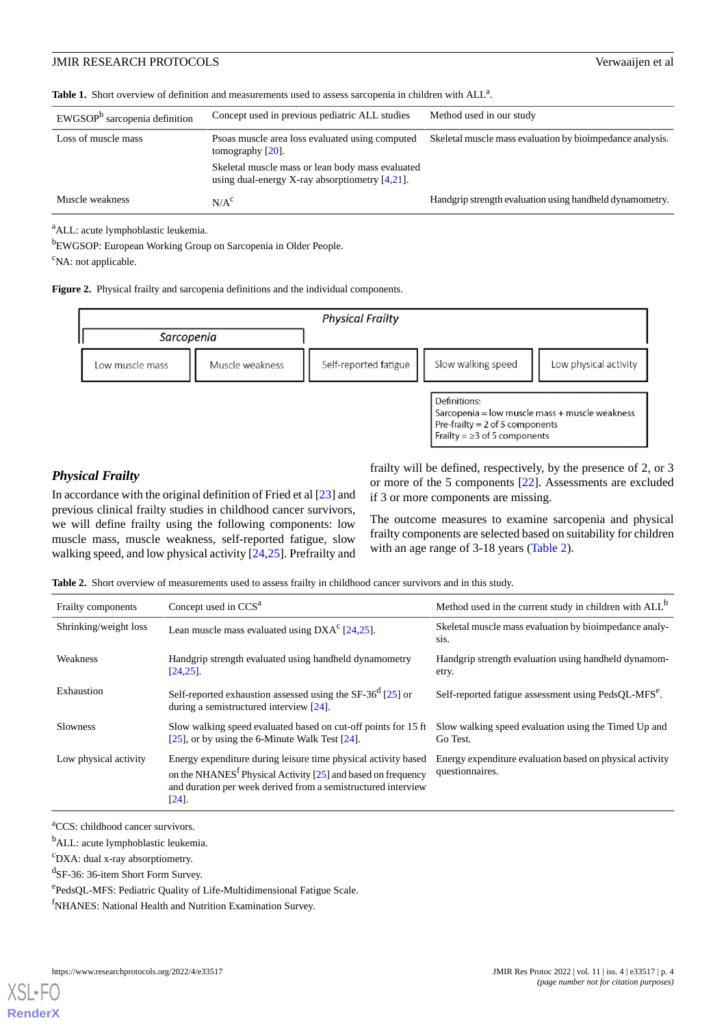<span id="page-3-0"></span>

|  |  |  |  | Table 1. Short overview of definition and measurements used to assess sarcopenia in children with ALL <sup>a</sup> . |  |
|--|--|--|--|----------------------------------------------------------------------------------------------------------------------|--|
|--|--|--|--|----------------------------------------------------------------------------------------------------------------------|--|

| $EWGSOPb$ sarcopenia definition | Concept used in previous pediatric ALL studies                                                        | Method used in our study                                  |  |
|---------------------------------|-------------------------------------------------------------------------------------------------------|-----------------------------------------------------------|--|
| Loss of muscle mass             | Psoas muscle area loss evaluated using computed<br>tomography $[20]$ .                                | Skeletal muscle mass evaluation by bioimpedance analysis. |  |
|                                 | Skeletal muscle mass or lean body mass evaluated<br>using dual-energy X-ray absorptiometry $[4,21]$ . |                                                           |  |
| Muscle weakness                 | N/A <sup>c</sup>                                                                                      | Handgrip strength evaluation using handheld dynamometry.  |  |

<sup>a</sup>ALL: acute lymphoblastic leukemia.

<sup>b</sup>EWGSOP: European Working Group on Sarcopenia in Older People.

<span id="page-3-1"></span> $\mathrm{c}_{\mathrm{NA}: \text{not applicable}}$ .

**Figure 2.** Physical frailty and sarcopenia definitions and the individual components.



## *Physical Frailty*

<span id="page-3-2"></span>In accordance with the original definition of Fried et al [[23\]](#page-8-2) and previous clinical frailty studies in childhood cancer survivors, we will define frailty using the following components: low muscle mass, muscle weakness, self-reported fatigue, slow walking speed, and low physical activity [\[24](#page-8-3),[25\]](#page-8-16). Prefrailty and

frailty will be defined, respectively, by the presence of 2, or 3 or more of the 5 components [\[22](#page-8-1)]. Assessments are excluded if 3 or more components are missing.

The outcome measures to examine sarcopenia and physical frailty components are selected based on suitability for children with an age range of 3-18 years ([Table 2](#page-3-2)).

**Table 2.** Short overview of measurements used to assess frailty in childhood cancer survivors and in this study.

| Frailty components    | Concept used in CCS <sup>a</sup>                                                                                                                                                                                        | Method used in the current study in children with ALL <sup>b</sup>          |
|-----------------------|-------------------------------------------------------------------------------------------------------------------------------------------------------------------------------------------------------------------------|-----------------------------------------------------------------------------|
| Shrinking/weight loss | Lean muscle mass evaluated using $DXAc$ [24,25].                                                                                                                                                                        | Skeletal muscle mass evaluation by bioimpedance analy-<br>sis.              |
| Weakness              | Handgrip strength evaluated using handheld dynamometry<br>$[24, 25]$ .                                                                                                                                                  | Handgrip strength evaluation using handheld dynamom-<br>etry.               |
| Exhaustion            | Self-reported exhaustion assessed using the SF-36 $^{d}$ [25] or<br>during a semistructured interview [24].                                                                                                             | Self-reported fatigue assessment using PedsOL-MFS <sup>e</sup> .            |
| <b>Slowness</b>       | Slow walking speed evaluated based on cut-off points for 15 ft<br>[ $25$ ], or by using the 6-Minute Walk Test [ $24$ ].                                                                                                | Slow walking speed evaluation using the Timed Up and<br>Go Test.            |
| Low physical activity | Energy expenditure during leisure time physical activity based<br>on the NHANES <sup>f</sup> Physical Activity [25] and based on frequency<br>and duration per week derived from a semistructured interview<br>$[24]$ . | Energy expenditure evaluation based on physical activity<br>questionnaires. |

<sup>a</sup>CCS: childhood cancer survivors.

<sup>b</sup>ALL: acute lymphoblastic leukemia.

<sup>c</sup>DXA: dual x-ray absorptiometry.

d SF-36: 36-item Short Form Survey.

e PedsQL-MFS: Pediatric Quality of Life-Multidimensional Fatigue Scale.

<sup>f</sup>NHANES: National Health and Nutrition Examination Survey.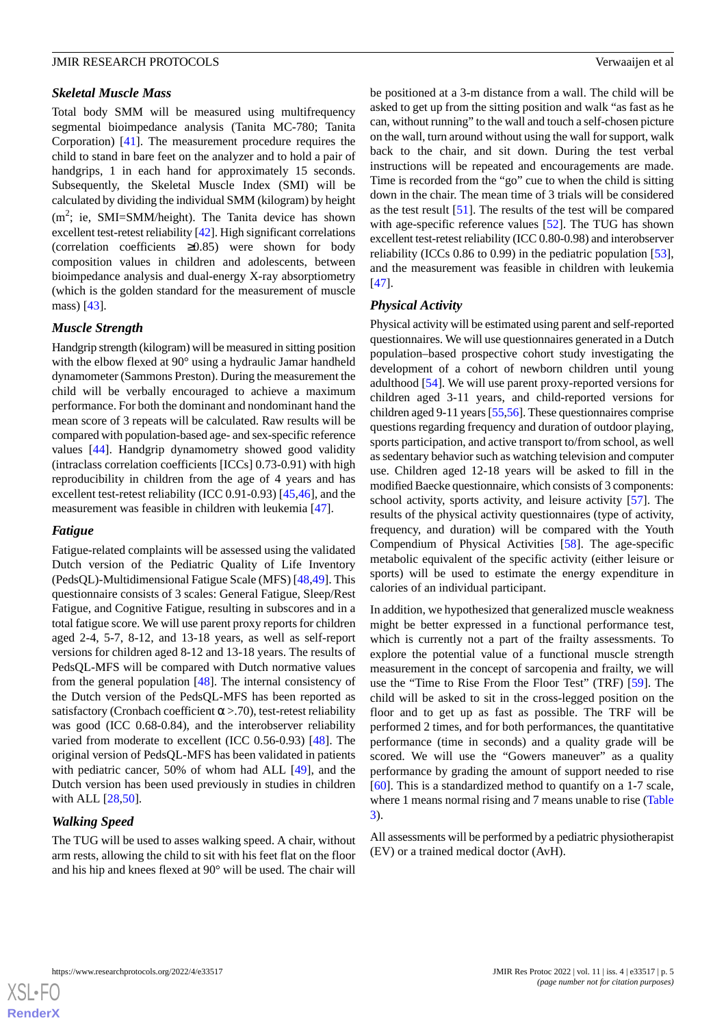## *Skeletal Muscle Mass*

Total body SMM will be measured using multifrequency segmental bioimpedance analysis (Tanita MC-780; Tanita Corporation) [[41\]](#page-8-17). The measurement procedure requires the child to stand in bare feet on the analyzer and to hold a pair of handgrips, 1 in each hand for approximately 15 seconds. Subsequently, the Skeletal Muscle Index (SMI) will be calculated by dividing the individual SMM (kilogram) by height  $(m^2)$ ; ie, SMI=SMM/height). The Tanita device has shown excellent test-retest reliability [\[42\]](#page-9-0). High significant correlations (correlation coefficients ≥0.85) were shown for body composition values in children and adolescents, between bioimpedance analysis and dual-energy X-ray absorptiometry (which is the golden standard for the measurement of muscle mass) [[43\]](#page-9-1).

## *Muscle Strength*

Handgrip strength (kilogram) will be measured in sitting position with the elbow flexed at 90 $^{\circ}$  using a hydraulic Jamar handheld dynamometer (Sammons Preston). During the measurement the child will be verbally encouraged to achieve a maximum performance. For both the dominant and nondominant hand the mean score of 3 repeats will be calculated. Raw results will be compared with population-based age- and sex-specific reference values [\[44](#page-9-2)]. Handgrip dynamometry showed good validity (intraclass correlation coefficients [ICCs] 0.73-0.91) with high reproducibility in children from the age of 4 years and has excellent test-retest reliability (ICC 0.91-0.93) [\[45](#page-9-3),[46\]](#page-9-4), and the measurement was feasible in children with leukemia [\[47](#page-9-5)].

#### *Fatigue*

Fatigue-related complaints will be assessed using the validated Dutch version of the Pediatric Quality of Life Inventory (PedsQL)-Multidimensional Fatigue Scale (MFS) [[48](#page-9-6)[,49](#page-9-7)]. This questionnaire consists of 3 scales: General Fatigue, Sleep/Rest Fatigue, and Cognitive Fatigue, resulting in subscores and in a total fatigue score. We will use parent proxy reports for children aged 2-4, 5-7, 8-12, and 13-18 years, as well as self-report versions for children aged 8-12 and 13-18 years. The results of PedsQL-MFS will be compared with Dutch normative values from the general population [\[48](#page-9-6)]. The internal consistency of the Dutch version of the PedsQL-MFS has been reported as satisfactory (Cronbach coefficient  $\alpha$  >.70), test-retest reliability was good (ICC 0.68-0.84), and the interobserver reliability varied from moderate to excellent (ICC 0.56-0.93) [[48\]](#page-9-6). The original version of PedsQL-MFS has been validated in patients with pediatric cancer, 50% of whom had ALL [[49\]](#page-9-7), and the Dutch version has been used previously in studies in children with ALL [\[28](#page-8-5),[50\]](#page-9-8).

## *Walking Speed*

The TUG will be used to asses walking speed. A chair, without arm rests, allowing the child to sit with his feet flat on the floor and his hip and knees flexed at 90° will be used. The chair will

be positioned at a 3-m distance from a wall. The child will be asked to get up from the sitting position and walk "as fast as he can, without running" to the wall and touch a self-chosen picture on the wall, turn around without using the wall for support, walk back to the chair, and sit down. During the test verbal instructions will be repeated and encouragements are made. Time is recorded from the "go" cue to when the child is sitting down in the chair. The mean time of 3 trials will be considered as the test result [\[51](#page-9-9)]. The results of the test will be compared with age-specific reference values [\[52](#page-9-10)]. The TUG has shown excellent test-retest reliability (ICC 0.80-0.98) and interobserver reliability (ICCs 0.86 to 0.99) in the pediatric population [[53\]](#page-9-11), and the measurement was feasible in children with leukemia [[47\]](#page-9-5).

## *Physical Activity*

Physical activity will be estimated using parent and self-reported questionnaires. We will use questionnaires generated in a Dutch population–based prospective cohort study investigating the development of a cohort of newborn children until young adulthood [\[54](#page-9-12)]. We will use parent proxy-reported versions for children aged 3-11 years, and child-reported versions for children aged 9-11 years [[55](#page-9-13),[56\]](#page-9-14). These questionnaires comprise questions regarding frequency and duration of outdoor playing, sports participation, and active transport to/from school, as well as sedentary behavior such as watching television and computer use. Children aged 12-18 years will be asked to fill in the modified Baecke questionnaire, which consists of 3 components: school activity, sports activity, and leisure activity [[57\]](#page-9-15). The results of the physical activity questionnaires (type of activity, frequency, and duration) will be compared with the Youth Compendium of Physical Activities [[58\]](#page-9-16). The age-specific metabolic equivalent of the specific activity (either leisure or sports) will be used to estimate the energy expenditure in calories of an individual participant.

In addition, we hypothesized that generalized muscle weakness might be better expressed in a functional performance test, which is currently not a part of the frailty assessments. To explore the potential value of a functional muscle strength measurement in the concept of sarcopenia and frailty, we will use the "Time to Rise From the Floor Test" (TRF) [\[59](#page-9-17)]. The child will be asked to sit in the cross-legged position on the floor and to get up as fast as possible. The TRF will be performed 2 times, and for both performances, the quantitative performance (time in seconds) and a quality grade will be scored. We will use the "Gowers maneuver" as a quality performance by grading the amount of support needed to rise [[60\]](#page-9-18). This is a standardized method to quantify on a 1-7 scale, where 1 means normal rising and 7 means unable to rise ([Table](#page-5-0) [3\)](#page-5-0).

All assessments will be performed by a pediatric physiotherapist (EV) or a trained medical doctor (AvH).

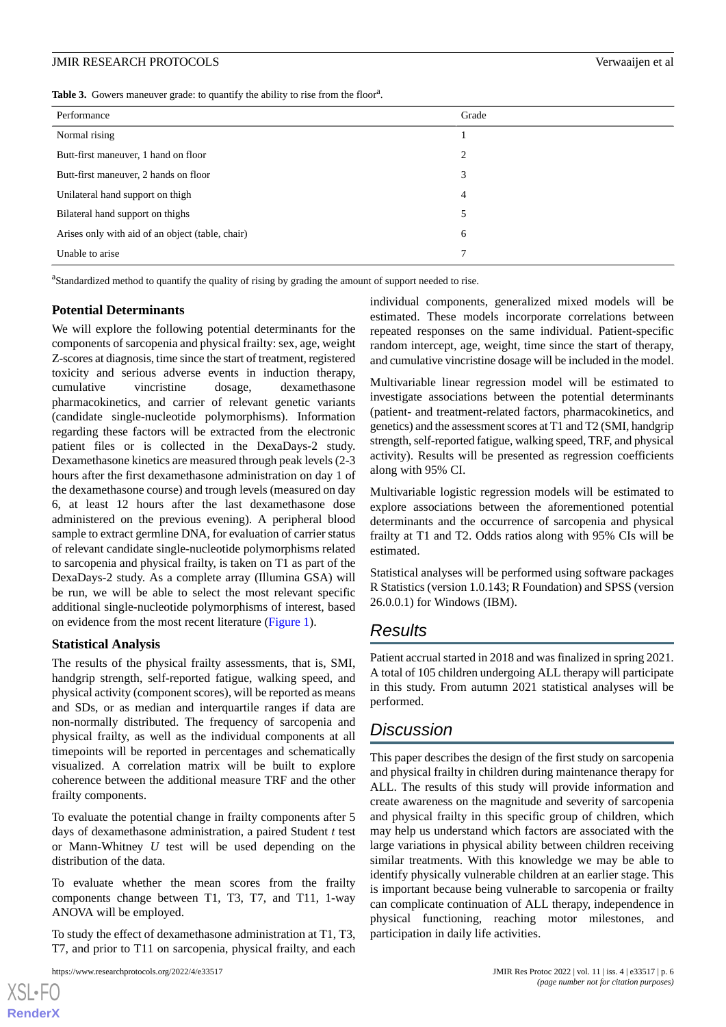<span id="page-5-0"></span>Table 3. Gowers maneuver grade: to quantify the ability to rise from the floor<sup>a</sup>.

| Performance                                      | Grade |
|--------------------------------------------------|-------|
| Normal rising                                    |       |
| Butt-first maneuver, 1 hand on floor             | 2     |
| Butt-first maneuver, 2 hands on floor            | 3     |
| Unilateral hand support on thigh                 | 4     |
| Bilateral hand support on thighs                 | 5     |
| Arises only with aid of an object (table, chair) | 6     |
| Unable to arise                                  | ⇁     |

<sup>a</sup>Standardized method to quantify the quality of rising by grading the amount of support needed to rise.

## **Potential Determinants**

We will explore the following potential determinants for the components of sarcopenia and physical frailty: sex, age, weight Z-scores at diagnosis, time since the start of treatment, registered toxicity and serious adverse events in induction therapy, cumulative vincristine dosage, dexamethasone pharmacokinetics, and carrier of relevant genetic variants (candidate single-nucleotide polymorphisms). Information regarding these factors will be extracted from the electronic patient files or is collected in the DexaDays-2 study. Dexamethasone kinetics are measured through peak levels (2-3 hours after the first dexamethasone administration on day 1 of the dexamethasone course) and trough levels (measured on day 6, at least 12 hours after the last dexamethasone dose administered on the previous evening). A peripheral blood sample to extract germline DNA, for evaluation of carrier status of relevant candidate single-nucleotide polymorphisms related to sarcopenia and physical frailty, is taken on T1 as part of the DexaDays-2 study. As a complete array (Illumina GSA) will be run, we will be able to select the most relevant specific additional single-nucleotide polymorphisms of interest, based on evidence from the most recent literature [\(Figure 1\)](#page-2-0).

## **Statistical Analysis**

The results of the physical frailty assessments, that is, SMI, handgrip strength, self-reported fatigue, walking speed, and physical activity (component scores), will be reported as means and SDs, or as median and interquartile ranges if data are non-normally distributed. The frequency of sarcopenia and physical frailty, as well as the individual components at all timepoints will be reported in percentages and schematically visualized. A correlation matrix will be built to explore coherence between the additional measure TRF and the other frailty components.

To evaluate the potential change in frailty components after 5 days of dexamethasone administration, a paired Student *t* test or Mann-Whitney *U* test will be used depending on the distribution of the data.

To evaluate whether the mean scores from the frailty components change between T1, T3, T7, and T11, 1-way ANOVA will be employed.

To study the effect of dexamethasone administration at T1, T3, T7, and prior to T11 on sarcopenia, physical frailty, and each

[XSL](http://www.w3.org/Style/XSL)•FO **[RenderX](http://www.renderx.com/)**

individual components, generalized mixed models will be estimated. These models incorporate correlations between repeated responses on the same individual. Patient-specific random intercept, age, weight, time since the start of therapy, and cumulative vincristine dosage will be included in the model.

Multivariable linear regression model will be estimated to investigate associations between the potential determinants (patient- and treatment-related factors, pharmacokinetics, and genetics) and the assessment scores at T1 and T2 (SMI, handgrip strength, self-reported fatigue, walking speed, TRF, and physical activity). Results will be presented as regression coefficients along with 95% CI.

Multivariable logistic regression models will be estimated to explore associations between the aforementioned potential determinants and the occurrence of sarcopenia and physical frailty at T1 and T2. Odds ratios along with 95% CIs will be estimated.

Statistical analyses will be performed using software packages R Statistics (version 1.0.143; R Foundation) and SPSS (version 26.0.0.1) for Windows (IBM).

# *Results*

Patient accrual started in 2018 and was finalized in spring 2021. A total of 105 children undergoing ALL therapy will participate in this study. From autumn 2021 statistical analyses will be performed.

# *Discussion*

This paper describes the design of the first study on sarcopenia and physical frailty in children during maintenance therapy for ALL. The results of this study will provide information and create awareness on the magnitude and severity of sarcopenia and physical frailty in this specific group of children, which may help us understand which factors are associated with the large variations in physical ability between children receiving similar treatments. With this knowledge we may be able to identify physically vulnerable children at an earlier stage. This is important because being vulnerable to sarcopenia or frailty can complicate continuation of ALL therapy, independence in physical functioning, reaching motor milestones, and participation in daily life activities.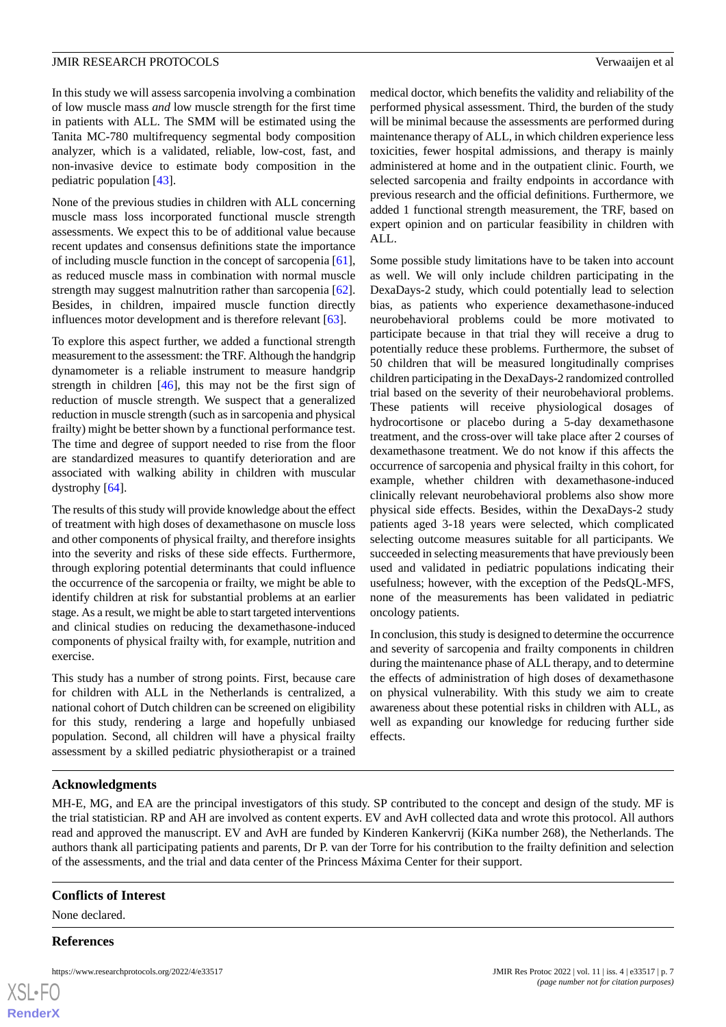In this study we will assess sarcopenia involving a combination of low muscle mass *and* low muscle strength for the first time in patients with ALL. The SMM will be estimated using the Tanita MC-780 multifrequency segmental body composition analyzer, which is a validated, reliable, low-cost, fast, and non-invasive device to estimate body composition in the pediatric population [[43\]](#page-9-1).

None of the previous studies in children with ALL concerning muscle mass loss incorporated functional muscle strength assessments. We expect this to be of additional value because recent updates and consensus definitions state the importance of including muscle function in the concept of sarcopenia [[61\]](#page-9-19), as reduced muscle mass in combination with normal muscle strength may suggest malnutrition rather than sarcopenia [[62\]](#page-9-20). Besides, in children, impaired muscle function directly influences motor development and is therefore relevant [\[63](#page-9-21)].

To explore this aspect further, we added a functional strength measurement to the assessment: the TRF. Although the handgrip dynamometer is a reliable instrument to measure handgrip strength in children  $[46]$  $[46]$ , this may not be the first sign of reduction of muscle strength. We suspect that a generalized reduction in muscle strength (such as in sarcopenia and physical frailty) might be better shown by a functional performance test. The time and degree of support needed to rise from the floor are standardized measures to quantify deterioration and are associated with walking ability in children with muscular dystrophy [\[64](#page-10-0)].

The results of this study will provide knowledge about the effect of treatment with high doses of dexamethasone on muscle loss and other components of physical frailty, and therefore insights into the severity and risks of these side effects. Furthermore, through exploring potential determinants that could influence the occurrence of the sarcopenia or frailty, we might be able to identify children at risk for substantial problems at an earlier stage. As a result, we might be able to start targeted interventions and clinical studies on reducing the dexamethasone-induced components of physical frailty with, for example, nutrition and exercise.

This study has a number of strong points. First, because care for children with ALL in the Netherlands is centralized, a national cohort of Dutch children can be screened on eligibility for this study, rendering a large and hopefully unbiased population. Second, all children will have a physical frailty assessment by a skilled pediatric physiotherapist or a trained

medical doctor, which benefits the validity and reliability of the performed physical assessment. Third, the burden of the study will be minimal because the assessments are performed during maintenance therapy of ALL, in which children experience less toxicities, fewer hospital admissions, and therapy is mainly administered at home and in the outpatient clinic. Fourth, we selected sarcopenia and frailty endpoints in accordance with previous research and the official definitions. Furthermore, we added 1 functional strength measurement, the TRF, based on expert opinion and on particular feasibility in children with ALL.

Some possible study limitations have to be taken into account as well. We will only include children participating in the DexaDays-2 study, which could potentially lead to selection bias, as patients who experience dexamethasone-induced neurobehavioral problems could be more motivated to participate because in that trial they will receive a drug to potentially reduce these problems. Furthermore, the subset of 50 children that will be measured longitudinally comprises children participating in the DexaDays-2 randomized controlled trial based on the severity of their neurobehavioral problems. These patients will receive physiological dosages of hydrocortisone or placebo during a 5-day dexamethasone treatment, and the cross-over will take place after 2 courses of dexamethasone treatment. We do not know if this affects the occurrence of sarcopenia and physical frailty in this cohort, for example, whether children with dexamethasone-induced clinically relevant neurobehavioral problems also show more physical side effects. Besides, within the DexaDays-2 study patients aged 3-18 years were selected, which complicated selecting outcome measures suitable for all participants. We succeeded in selecting measurements that have previously been used and validated in pediatric populations indicating their usefulness; however, with the exception of the PedsQL-MFS, none of the measurements has been validated in pediatric oncology patients.

In conclusion, this study is designed to determine the occurrence and severity of sarcopenia and frailty components in children during the maintenance phase of ALL therapy, and to determine the effects of administration of high doses of dexamethasone on physical vulnerability. With this study we aim to create awareness about these potential risks in children with ALL, as well as expanding our knowledge for reducing further side effects.

#### **Acknowledgments**

MH-E, MG, and EA are the principal investigators of this study. SP contributed to the concept and design of the study. MF is the trial statistician. RP and AH are involved as content experts. EV and AvH collected data and wrote this protocol. All authors read and approved the manuscript. EV and AvH are funded by Kinderen Kankervrij (KiKa number 268), the Netherlands. The authors thank all participating patients and parents, Dr P. van der Torre for his contribution to the frailty definition and selection of the assessments, and the trial and data center of the Princess Máxima Center for their support.

#### **Conflicts of Interest**

None declared.

## **References**

| XSL•FO         |  |
|----------------|--|
|                |  |
| <b>RenderX</b> |  |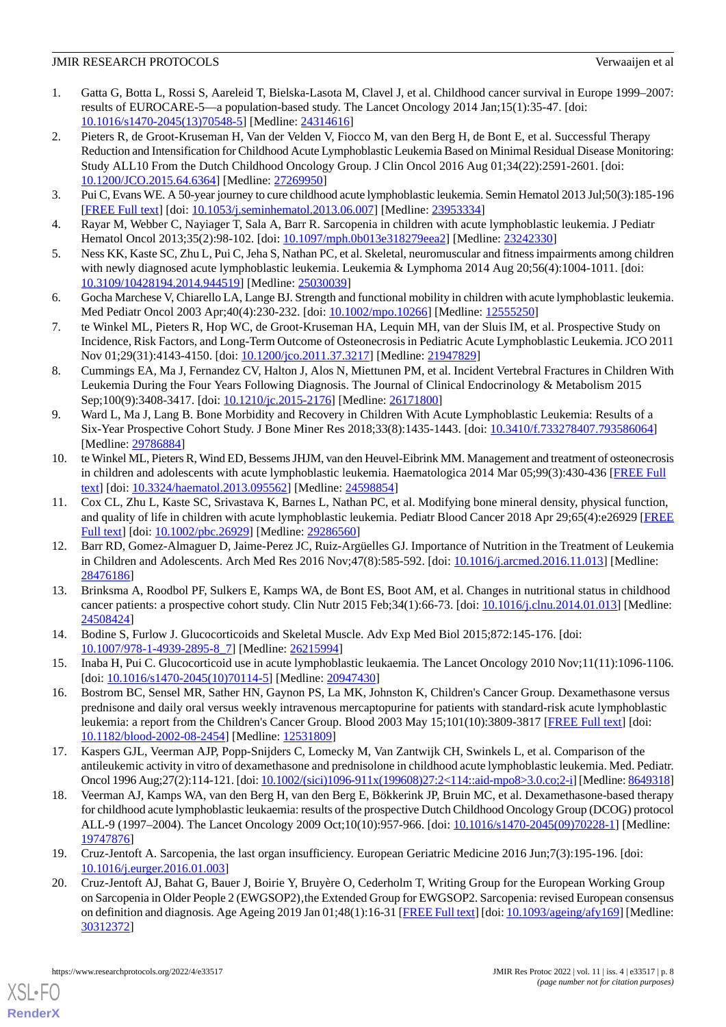- <span id="page-7-0"></span>1. Gatta G, Botta L, Rossi S, Aareleid T, Bielska-Lasota M, Clavel J, et al. Childhood cancer survival in Europe 1999–2007: results of EUROCARE-5—a population-based study. The Lancet Oncology 2014 Jan;15(1):35-47. [doi: [10.1016/s1470-2045\(13\)70548-5](http://dx.doi.org/10.1016/s1470-2045(13)70548-5)] [Medline: [24314616\]](http://www.ncbi.nlm.nih.gov/entrez/query.fcgi?cmd=Retrieve&db=PubMed&list_uids=24314616&dopt=Abstract)
- 2. Pieters R, de Groot-Kruseman H, Van der Velden V, Fiocco M, van den Berg H, de Bont E, et al. Successful Therapy Reduction and Intensification for Childhood Acute Lymphoblastic Leukemia Based on Minimal Residual Disease Monitoring: Study ALL10 From the Dutch Childhood Oncology Group. J Clin Oncol 2016 Aug 01;34(22):2591-2601. [doi: [10.1200/JCO.2015.64.6364](http://dx.doi.org/10.1200/JCO.2015.64.6364)] [Medline: [27269950\]](http://www.ncbi.nlm.nih.gov/entrez/query.fcgi?cmd=Retrieve&db=PubMed&list_uids=27269950&dopt=Abstract)
- <span id="page-7-2"></span><span id="page-7-1"></span>3. Pui C, Evans WE. A 50-year journey to cure childhood acute lymphoblastic leukemia. Semin Hematol 2013 Jul;50(3):185-196 [[FREE Full text](http://europepmc.org/abstract/MED/23953334)] [doi: [10.1053/j.seminhematol.2013.06.007\]](http://dx.doi.org/10.1053/j.seminhematol.2013.06.007) [Medline: [23953334](http://www.ncbi.nlm.nih.gov/entrez/query.fcgi?cmd=Retrieve&db=PubMed&list_uids=23953334&dopt=Abstract)]
- <span id="page-7-14"></span>4. Rayar M, Webber C, Nayiager T, Sala A, Barr R. Sarcopenia in children with acute lymphoblastic leukemia. J Pediatr Hematol Oncol 2013;35(2):98-102. [doi: [10.1097/mph.0b013e318279eea2\]](http://dx.doi.org/10.1097/mph.0b013e318279eea2) [Medline: [23242330](http://www.ncbi.nlm.nih.gov/entrez/query.fcgi?cmd=Retrieve&db=PubMed&list_uids=23242330&dopt=Abstract)]
- <span id="page-7-3"></span>5. Ness KK, Kaste SC, Zhu L, Pui C, Jeha S, Nathan PC, et al. Skeletal, neuromuscular and fitness impairments among children with newly diagnosed acute lymphoblastic leukemia. Leukemia & Lymphoma 2014 Aug 20;56(4):1004-1011. [doi: [10.3109/10428194.2014.944519\]](http://dx.doi.org/10.3109/10428194.2014.944519) [Medline: [25030039\]](http://www.ncbi.nlm.nih.gov/entrez/query.fcgi?cmd=Retrieve&db=PubMed&list_uids=25030039&dopt=Abstract)
- <span id="page-7-4"></span>6. Gocha Marchese V, Chiarello LA, Lange BJ. Strength and functional mobility in children with acute lymphoblastic leukemia. Med Pediatr Oncol 2003 Apr;40(4):230-232. [doi: [10.1002/mpo.10266\]](http://dx.doi.org/10.1002/mpo.10266) [Medline: [12555250](http://www.ncbi.nlm.nih.gov/entrez/query.fcgi?cmd=Retrieve&db=PubMed&list_uids=12555250&dopt=Abstract)]
- 7. te Winkel ML, Pieters R, Hop WC, de Groot-Kruseman HA, Lequin MH, van der Sluis IM, et al. Prospective Study on Incidence, Risk Factors, and Long-Term Outcome of Osteonecrosis in Pediatric Acute Lymphoblastic Leukemia. JCO 2011 Nov 01;29(31):4143-4150. [doi: [10.1200/jco.2011.37.3217](http://dx.doi.org/10.1200/jco.2011.37.3217)] [Medline: [21947829\]](http://www.ncbi.nlm.nih.gov/entrez/query.fcgi?cmd=Retrieve&db=PubMed&list_uids=21947829&dopt=Abstract)
- 8. Cummings EA, Ma J, Fernandez CV, Halton J, Alos N, Miettunen PM, et al. Incident Vertebral Fractures in Children With Leukemia During the Four Years Following Diagnosis. The Journal of Clinical Endocrinology & Metabolism 2015 Sep;100(9):3408-3417. [doi: [10.1210/jc.2015-2176\]](http://dx.doi.org/10.1210/jc.2015-2176) [Medline: [26171800\]](http://www.ncbi.nlm.nih.gov/entrez/query.fcgi?cmd=Retrieve&db=PubMed&list_uids=26171800&dopt=Abstract)
- 9. Ward L, Ma J, Lang B. Bone Morbidity and Recovery in Children With Acute Lymphoblastic Leukemia: Results of a Six-Year Prospective Cohort Study. J Bone Miner Res 2018;33(8):1435-1443. [doi: [10.3410/f.733278407.793586064\]](http://dx.doi.org/10.3410/f.733278407.793586064) [Medline: [29786884](http://www.ncbi.nlm.nih.gov/entrez/query.fcgi?cmd=Retrieve&db=PubMed&list_uids=29786884&dopt=Abstract)]
- <span id="page-7-5"></span>10. te Winkel ML, Pieters R, Wind ED, Bessems JHJM, van den Heuvel-Eibrink MM. Management and treatment of osteonecrosis in children and adolescents with acute lymphoblastic leukemia. Haematologica 2014 Mar 05;99(3):430-436 [\[FREE Full](https://doi.org/10.3324/haematol.2013.095562) [text](https://doi.org/10.3324/haematol.2013.095562)] [doi: [10.3324/haematol.2013.095562\]](http://dx.doi.org/10.3324/haematol.2013.095562) [Medline: [24598854](http://www.ncbi.nlm.nih.gov/entrez/query.fcgi?cmd=Retrieve&db=PubMed&list_uids=24598854&dopt=Abstract)]
- <span id="page-7-6"></span>11. Cox CL, Zhu L, Kaste SC, Srivastava K, Barnes L, Nathan PC, et al. Modifying bone mineral density, physical function, and quality of life in children with acute lymphoblastic leukemia. Pediatr Blood Cancer 2018 Apr 29;65(4):e26929 [\[FREE](http://europepmc.org/abstract/MED/29286560) [Full text\]](http://europepmc.org/abstract/MED/29286560) [doi: [10.1002/pbc.26929](http://dx.doi.org/10.1002/pbc.26929)] [Medline: [29286560](http://www.ncbi.nlm.nih.gov/entrez/query.fcgi?cmd=Retrieve&db=PubMed&list_uids=29286560&dopt=Abstract)]
- <span id="page-7-7"></span>12. Barr RD, Gomez-Almaguer D, Jaime-Perez JC, Ruiz-Argüelles GJ. Importance of Nutrition in the Treatment of Leukemia in Children and Adolescents. Arch Med Res 2016 Nov;47(8):585-592. [doi: [10.1016/j.arcmed.2016.11.013\]](http://dx.doi.org/10.1016/j.arcmed.2016.11.013) [Medline: [28476186](http://www.ncbi.nlm.nih.gov/entrez/query.fcgi?cmd=Retrieve&db=PubMed&list_uids=28476186&dopt=Abstract)]
- <span id="page-7-9"></span><span id="page-7-8"></span>13. Brinksma A, Roodbol PF, Sulkers E, Kamps WA, de Bont ES, Boot AM, et al. Changes in nutritional status in childhood cancer patients: a prospective cohort study. Clin Nutr 2015 Feb;34(1):66-73. [doi: [10.1016/j.clnu.2014.01.013\]](http://dx.doi.org/10.1016/j.clnu.2014.01.013) [Medline: [24508424](http://www.ncbi.nlm.nih.gov/entrez/query.fcgi?cmd=Retrieve&db=PubMed&list_uids=24508424&dopt=Abstract)]
- <span id="page-7-10"></span>14. Bodine S, Furlow J. Glucocorticoids and Skeletal Muscle. Adv Exp Med Biol 2015;872:145-176. [doi: [10.1007/978-1-4939-2895-8\\_7](http://dx.doi.org/10.1007/978-1-4939-2895-8_7)] [Medline: [26215994\]](http://www.ncbi.nlm.nih.gov/entrez/query.fcgi?cmd=Retrieve&db=PubMed&list_uids=26215994&dopt=Abstract)
- 15. Inaba H, Pui C. Glucocorticoid use in acute lymphoblastic leukaemia. The Lancet Oncology 2010 Nov;11(11):1096-1106. [doi: [10.1016/s1470-2045\(10\)70114-5](http://dx.doi.org/10.1016/s1470-2045(10)70114-5)] [Medline: [20947430](http://www.ncbi.nlm.nih.gov/entrez/query.fcgi?cmd=Retrieve&db=PubMed&list_uids=20947430&dopt=Abstract)]
- <span id="page-7-11"></span>16. Bostrom BC, Sensel MR, Sather HN, Gaynon PS, La MK, Johnston K, Children's Cancer Group. Dexamethasone versus prednisone and daily oral versus weekly intravenous mercaptopurine for patients with standard-risk acute lymphoblastic leukemia: a report from the Children's Cancer Group. Blood 2003 May 15;101(10):3809-3817 [[FREE Full text\]](https://linkinghub.elsevier.com/retrieve/pii/S0006-4971(20)44423-4) [doi: [10.1182/blood-2002-08-2454\]](http://dx.doi.org/10.1182/blood-2002-08-2454) [Medline: [12531809](http://www.ncbi.nlm.nih.gov/entrez/query.fcgi?cmd=Retrieve&db=PubMed&list_uids=12531809&dopt=Abstract)]
- <span id="page-7-12"></span>17. Kaspers GJL, Veerman AJP, Popp-Snijders C, Lomecky M, Van Zantwijk CH, Swinkels L, et al. Comparison of the antileukemic activity in vitro of dexamethasone and prednisolone in childhood acute lymphoblastic leukemia. Med. Pediatr. Oncol 1996 Aug;27(2):114-121. [doi: [10.1002/\(sici\)1096-911x\(199608\)27:2<114::aid-mpo8>3.0.co;2-i\]](http://dx.doi.org/10.1002/(sici)1096-911x(199608)27:2<114::aid-mpo8>3.0.co;2-i) [Medline: [8649318\]](http://www.ncbi.nlm.nih.gov/entrez/query.fcgi?cmd=Retrieve&db=PubMed&list_uids=8649318&dopt=Abstract)
- <span id="page-7-13"></span>18. Veerman AJ, Kamps WA, van den Berg H, van den Berg E, Bökkerink JP, Bruin MC, et al. Dexamethasone-based therapy for childhood acute lymphoblastic leukaemia: results of the prospective Dutch Childhood Oncology Group (DCOG) protocol ALL-9 (1997–2004). The Lancet Oncology 2009 Oct;10(10):957-966. [doi: [10.1016/s1470-2045\(09\)70228-1](http://dx.doi.org/10.1016/s1470-2045(09)70228-1)] [Medline: [19747876](http://www.ncbi.nlm.nih.gov/entrez/query.fcgi?cmd=Retrieve&db=PubMed&list_uids=19747876&dopt=Abstract)]
- 19. Cruz-Jentoft A. Sarcopenia, the last organ insufficiency. European Geriatric Medicine 2016 Jun;7(3):195-196. [doi: [10.1016/j.eurger.2016.01.003](http://dx.doi.org/10.1016/j.eurger.2016.01.003)]
- 20. Cruz-Jentoft AJ, Bahat G, Bauer J, Boirie Y, Bruyère O, Cederholm T, Writing Group for the European Working Group on Sarcopenia in Older People 2 (EWGSOP2), the Extended Group for EWGSOP2. Sarcopenia: revised European consensus on definition and diagnosis. Age Ageing 2019 Jan 01;48(1):16-31 [\[FREE Full text\]](http://europepmc.org/abstract/MED/30312372) [doi: [10.1093/ageing/afy169](http://dx.doi.org/10.1093/ageing/afy169)] [Medline: [30312372](http://www.ncbi.nlm.nih.gov/entrez/query.fcgi?cmd=Retrieve&db=PubMed&list_uids=30312372&dopt=Abstract)]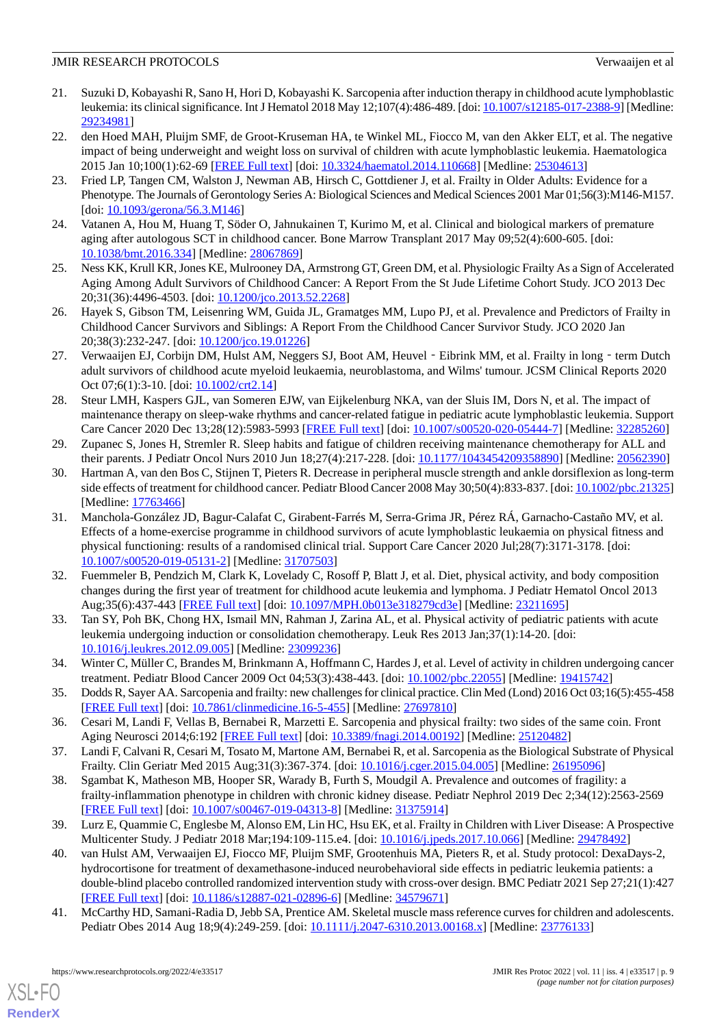- <span id="page-8-0"></span>21. Suzuki D, Kobayashi R, Sano H, Hori D, Kobayashi K. Sarcopenia after induction therapy in childhood acute lymphoblastic leukemia: its clinical significance. Int J Hematol 2018 May 12;107(4):486-489. [doi: [10.1007/s12185-017-2388-9\]](http://dx.doi.org/10.1007/s12185-017-2388-9) [Medline: [29234981](http://www.ncbi.nlm.nih.gov/entrez/query.fcgi?cmd=Retrieve&db=PubMed&list_uids=29234981&dopt=Abstract)]
- <span id="page-8-1"></span>22. den Hoed MAH, Pluijm SMF, de Groot-Kruseman HA, te Winkel ML, Fiocco M, van den Akker ELT, et al. The negative impact of being underweight and weight loss on survival of children with acute lymphoblastic leukemia. Haematologica 2015 Jan 10;100(1):62-69 [\[FREE Full text\]](https://doi.org/10.3324/haematol.2014.110668) [doi: [10.3324/haematol.2014.110668\]](http://dx.doi.org/10.3324/haematol.2014.110668) [Medline: [25304613\]](http://www.ncbi.nlm.nih.gov/entrez/query.fcgi?cmd=Retrieve&db=PubMed&list_uids=25304613&dopt=Abstract)
- <span id="page-8-2"></span>23. Fried LP, Tangen CM, Walston J, Newman AB, Hirsch C, Gottdiener J, et al. Frailty in Older Adults: Evidence for a Phenotype. The Journals of Gerontology Series A: Biological Sciences and Medical Sciences 2001 Mar 01;56(3):M146-M157. [doi: [10.1093/gerona/56.3.M146](http://dx.doi.org/10.1093/gerona/56.3.M146)]
- <span id="page-8-16"></span><span id="page-8-3"></span>24. Vatanen A, Hou M, Huang T, Söder O, Jahnukainen T, Kurimo M, et al. Clinical and biological markers of premature aging after autologous SCT in childhood cancer. Bone Marrow Transplant 2017 May 09;52(4):600-605. [doi: [10.1038/bmt.2016.334](http://dx.doi.org/10.1038/bmt.2016.334)] [Medline: [28067869](http://www.ncbi.nlm.nih.gov/entrez/query.fcgi?cmd=Retrieve&db=PubMed&list_uids=28067869&dopt=Abstract)]
- 25. Ness KK, Krull KR, Jones KE, Mulrooney DA, Armstrong GT, Green DM, et al. Physiologic Frailty As a Sign of Accelerated Aging Among Adult Survivors of Childhood Cancer: A Report From the St Jude Lifetime Cohort Study. JCO 2013 Dec 20;31(36):4496-4503. [doi: [10.1200/jco.2013.52.2268\]](http://dx.doi.org/10.1200/jco.2013.52.2268)
- <span id="page-8-4"></span>26. Hayek S, Gibson TM, Leisenring WM, Guida JL, Gramatges MM, Lupo PJ, et al. Prevalence and Predictors of Frailty in Childhood Cancer Survivors and Siblings: A Report From the Childhood Cancer Survivor Study. JCO 2020 Jan 20;38(3):232-247. [doi: [10.1200/jco.19.01226\]](http://dx.doi.org/10.1200/jco.19.01226)
- <span id="page-8-5"></span>27. Verwaaijen EJ, Corbijn DM, Hulst AM, Neggers SJ, Boot AM, Heuvel - Eibrink MM, et al. Frailty in long - term Dutch adult survivors of childhood acute myeloid leukaemia, neuroblastoma, and Wilms' tumour. JCSM Clinical Reports 2020 Oct 07;6(1):3-10. [doi: [10.1002/crt2.14\]](http://dx.doi.org/10.1002/crt2.14)
- <span id="page-8-6"></span>28. Steur LMH, Kaspers GJL, van Someren EJW, van Eijkelenburg NKA, van der Sluis IM, Dors N, et al. The impact of maintenance therapy on sleep-wake rhythms and cancer-related fatigue in pediatric acute lymphoblastic leukemia. Support Care Cancer 2020 Dec 13;28(12):5983-5993 [\[FREE Full text\]](http://europepmc.org/abstract/MED/32285260) [doi: [10.1007/s00520-020-05444-7](http://dx.doi.org/10.1007/s00520-020-05444-7)] [Medline: [32285260\]](http://www.ncbi.nlm.nih.gov/entrez/query.fcgi?cmd=Retrieve&db=PubMed&list_uids=32285260&dopt=Abstract)
- <span id="page-8-7"></span>29. Zupanec S, Jones H, Stremler R. Sleep habits and fatigue of children receiving maintenance chemotherapy for ALL and their parents. J Pediatr Oncol Nurs 2010 Jun 18;27(4):217-228. [doi: [10.1177/1043454209358890](http://dx.doi.org/10.1177/1043454209358890)] [Medline: [20562390](http://www.ncbi.nlm.nih.gov/entrez/query.fcgi?cmd=Retrieve&db=PubMed&list_uids=20562390&dopt=Abstract)]
- <span id="page-8-8"></span>30. Hartman A, van den Bos C, Stijnen T, Pieters R. Decrease in peripheral muscle strength and ankle dorsiflexion as long-term side effects of treatment for childhood cancer. Pediatr Blood Cancer 2008 May 30;50(4):833-837. [doi: [10.1002/pbc.21325](http://dx.doi.org/10.1002/pbc.21325)] [Medline: [17763466](http://www.ncbi.nlm.nih.gov/entrez/query.fcgi?cmd=Retrieve&db=PubMed&list_uids=17763466&dopt=Abstract)]
- <span id="page-8-9"></span>31. Manchola-González JD, Bagur-Calafat C, Girabent-Farrés M, Serra-Grima JR, Pérez RÁ, Garnacho-Castaño MV, et al. Effects of a home-exercise programme in childhood survivors of acute lymphoblastic leukaemia on physical fitness and physical functioning: results of a randomised clinical trial. Support Care Cancer 2020 Jul;28(7):3171-3178. [doi: [10.1007/s00520-019-05131-2\]](http://dx.doi.org/10.1007/s00520-019-05131-2) [Medline: [31707503\]](http://www.ncbi.nlm.nih.gov/entrez/query.fcgi?cmd=Retrieve&db=PubMed&list_uids=31707503&dopt=Abstract)
- <span id="page-8-10"></span>32. Fuemmeler B, Pendzich M, Clark K, Lovelady C, Rosoff P, Blatt J, et al. Diet, physical activity, and body composition changes during the first year of treatment for childhood acute leukemia and lymphoma. J Pediatr Hematol Oncol 2013 Aug;35(6):437-443 [\[FREE Full text](http://europepmc.org/abstract/MED/23211695)] [doi: [10.1097/MPH.0b013e318279cd3e\]](http://dx.doi.org/10.1097/MPH.0b013e318279cd3e) [Medline: [23211695](http://www.ncbi.nlm.nih.gov/entrez/query.fcgi?cmd=Retrieve&db=PubMed&list_uids=23211695&dopt=Abstract)]
- <span id="page-8-11"></span>33. Tan SY, Poh BK, Chong HX, Ismail MN, Rahman J, Zarina AL, et al. Physical activity of pediatric patients with acute leukemia undergoing induction or consolidation chemotherapy. Leuk Res 2013 Jan;37(1):14-20. [doi: [10.1016/j.leukres.2012.09.005](http://dx.doi.org/10.1016/j.leukres.2012.09.005)] [Medline: [23099236](http://www.ncbi.nlm.nih.gov/entrez/query.fcgi?cmd=Retrieve&db=PubMed&list_uids=23099236&dopt=Abstract)]
- <span id="page-8-12"></span>34. Winter C, Müller C, Brandes M, Brinkmann A, Hoffmann C, Hardes J, et al. Level of activity in children undergoing cancer treatment. Pediatr Blood Cancer 2009 Oct 04;53(3):438-443. [doi: [10.1002/pbc.22055\]](http://dx.doi.org/10.1002/pbc.22055) [Medline: [19415742](http://www.ncbi.nlm.nih.gov/entrez/query.fcgi?cmd=Retrieve&db=PubMed&list_uids=19415742&dopt=Abstract)]
- <span id="page-8-13"></span>35. Dodds R, Sayer AA. Sarcopenia and frailty: new challenges for clinical practice. Clin Med (Lond) 2016 Oct 03;16(5):455-458 [[FREE Full text](http://europepmc.org/abstract/MED/27697810)] [doi: [10.7861/clinmedicine.16-5-455\]](http://dx.doi.org/10.7861/clinmedicine.16-5-455) [Medline: [27697810](http://www.ncbi.nlm.nih.gov/entrez/query.fcgi?cmd=Retrieve&db=PubMed&list_uids=27697810&dopt=Abstract)]
- 36. Cesari M, Landi F, Vellas B, Bernabei R, Marzetti E. Sarcopenia and physical frailty: two sides of the same coin. Front Aging Neurosci 2014;6:192 [\[FREE Full text](https://doi.org/10.3389/fnagi.2014.00192)] [doi: [10.3389/fnagi.2014.00192\]](http://dx.doi.org/10.3389/fnagi.2014.00192) [Medline: [25120482](http://www.ncbi.nlm.nih.gov/entrez/query.fcgi?cmd=Retrieve&db=PubMed&list_uids=25120482&dopt=Abstract)]
- <span id="page-8-14"></span>37. Landi F, Calvani R, Cesari M, Tosato M, Martone AM, Bernabei R, et al. Sarcopenia as the Biological Substrate of Physical Frailty. Clin Geriatr Med 2015 Aug;31(3):367-374. [doi: [10.1016/j.cger.2015.04.005](http://dx.doi.org/10.1016/j.cger.2015.04.005)] [Medline: [26195096](http://www.ncbi.nlm.nih.gov/entrez/query.fcgi?cmd=Retrieve&db=PubMed&list_uids=26195096&dopt=Abstract)]
- <span id="page-8-15"></span>38. Sgambat K, Matheson MB, Hooper SR, Warady B, Furth S, Moudgil A. Prevalence and outcomes of fragility: a frailty-inflammation phenotype in children with chronic kidney disease. Pediatr Nephrol 2019 Dec 2;34(12):2563-2569 [[FREE Full text](http://europepmc.org/abstract/MED/31375914)] [doi: [10.1007/s00467-019-04313-8\]](http://dx.doi.org/10.1007/s00467-019-04313-8) [Medline: [31375914](http://www.ncbi.nlm.nih.gov/entrez/query.fcgi?cmd=Retrieve&db=PubMed&list_uids=31375914&dopt=Abstract)]
- <span id="page-8-17"></span>39. Lurz E, Quammie C, Englesbe M, Alonso EM, Lin HC, Hsu EK, et al. Frailty in Children with Liver Disease: A Prospective Multicenter Study. J Pediatr 2018 Mar;194:109-115.e4. [doi: [10.1016/j.jpeds.2017.10.066](http://dx.doi.org/10.1016/j.jpeds.2017.10.066)] [Medline: [29478492\]](http://www.ncbi.nlm.nih.gov/entrez/query.fcgi?cmd=Retrieve&db=PubMed&list_uids=29478492&dopt=Abstract)
- 40. van Hulst AM, Verwaaijen EJ, Fiocco MF, Pluijm SMF, Grootenhuis MA, Pieters R, et al. Study protocol: DexaDays-2, hydrocortisone for treatment of dexamethasone-induced neurobehavioral side effects in pediatric leukemia patients: a double-blind placebo controlled randomized intervention study with cross-over design. BMC Pediatr 2021 Sep 27;21(1):427 [[FREE Full text](https://bmcpediatr.biomedcentral.com/articles/10.1186/s12887-021-02896-6)] [doi: [10.1186/s12887-021-02896-6\]](http://dx.doi.org/10.1186/s12887-021-02896-6) [Medline: [34579671](http://www.ncbi.nlm.nih.gov/entrez/query.fcgi?cmd=Retrieve&db=PubMed&list_uids=34579671&dopt=Abstract)]
- 41. McCarthy HD, Samani-Radia D, Jebb SA, Prentice AM. Skeletal muscle mass reference curves for children and adolescents. Pediatr Obes 2014 Aug 18;9(4):249-259. [doi: [10.1111/j.2047-6310.2013.00168.x\]](http://dx.doi.org/10.1111/j.2047-6310.2013.00168.x) [Medline: [23776133\]](http://www.ncbi.nlm.nih.gov/entrez/query.fcgi?cmd=Retrieve&db=PubMed&list_uids=23776133&dopt=Abstract)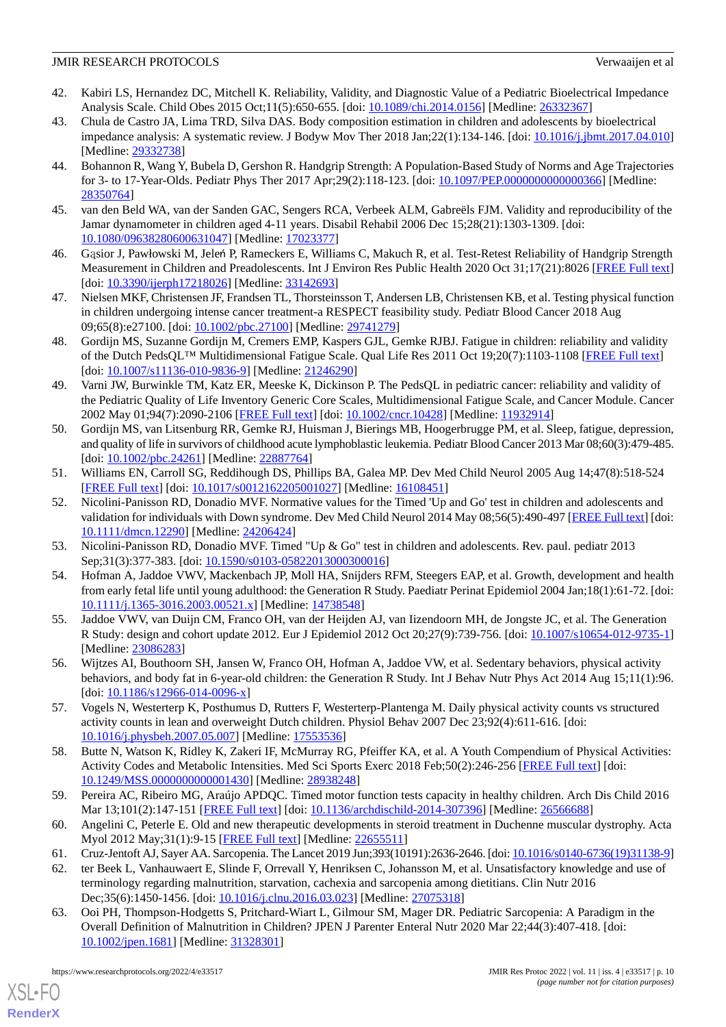- <span id="page-9-0"></span>42. Kabiri LS, Hernandez DC, Mitchell K. Reliability, Validity, and Diagnostic Value of a Pediatric Bioelectrical Impedance Analysis Scale. Child Obes 2015 Oct;11(5):650-655. [doi: [10.1089/chi.2014.0156\]](http://dx.doi.org/10.1089/chi.2014.0156) [Medline: [26332367\]](http://www.ncbi.nlm.nih.gov/entrez/query.fcgi?cmd=Retrieve&db=PubMed&list_uids=26332367&dopt=Abstract)
- <span id="page-9-1"></span>43. Chula de Castro JA, Lima TRD, Silva DAS. Body composition estimation in children and adolescents by bioelectrical impedance analysis: A systematic review. J Bodyw Mov Ther 2018 Jan;22(1):134-146. [doi: [10.1016/j.jbmt.2017.04.010](http://dx.doi.org/10.1016/j.jbmt.2017.04.010)] [Medline: [29332738](http://www.ncbi.nlm.nih.gov/entrez/query.fcgi?cmd=Retrieve&db=PubMed&list_uids=29332738&dopt=Abstract)]
- <span id="page-9-2"></span>44. Bohannon R, Wang Y, Bubela D, Gershon R. Handgrip Strength: A Population-Based Study of Norms and Age Trajectories for 3- to 17-Year-Olds. Pediatr Phys Ther 2017 Apr;29(2):118-123. [doi: [10.1097/PEP.0000000000000366\]](http://dx.doi.org/10.1097/PEP.0000000000000366) [Medline: [28350764](http://www.ncbi.nlm.nih.gov/entrez/query.fcgi?cmd=Retrieve&db=PubMed&list_uids=28350764&dopt=Abstract)]
- <span id="page-9-4"></span><span id="page-9-3"></span>45. van den Beld WA, van der Sanden GAC, Sengers RCA, Verbeek ALM, Gabreëls FJM. Validity and reproducibility of the Jamar dynamometer in children aged 4-11 years. Disabil Rehabil 2006 Dec 15;28(21):1303-1309. [doi: [10.1080/09638280600631047\]](http://dx.doi.org/10.1080/09638280600631047) [Medline: [17023377\]](http://www.ncbi.nlm.nih.gov/entrez/query.fcgi?cmd=Retrieve&db=PubMed&list_uids=17023377&dopt=Abstract)
- <span id="page-9-5"></span>46. Gąsior J, Pawłowski M, Jeleń P, Rameckers E, Williams C, Makuch R, et al. Test-Retest Reliability of Handgrip Strength Measurement in Children and Preadolescents. Int J Environ Res Public Health 2020 Oct 31;17(21):8026 [\[FREE Full text](https://www.mdpi.com/resolver?pii=ijerph17218026)] [doi: [10.3390/ijerph17218026](http://dx.doi.org/10.3390/ijerph17218026)] [Medline: [33142693](http://www.ncbi.nlm.nih.gov/entrez/query.fcgi?cmd=Retrieve&db=PubMed&list_uids=33142693&dopt=Abstract)]
- <span id="page-9-6"></span>47. Nielsen MKF, Christensen JF, Frandsen TL, Thorsteinsson T, Andersen LB, Christensen KB, et al. Testing physical function in children undergoing intense cancer treatment-a RESPECT feasibility study. Pediatr Blood Cancer 2018 Aug 09;65(8):e27100. [doi: [10.1002/pbc.27100\]](http://dx.doi.org/10.1002/pbc.27100) [Medline: [29741279\]](http://www.ncbi.nlm.nih.gov/entrez/query.fcgi?cmd=Retrieve&db=PubMed&list_uids=29741279&dopt=Abstract)
- <span id="page-9-7"></span>48. Gordijn MS, Suzanne Gordijn M, Cremers EMP, Kaspers GJL, Gemke RJBJ. Fatigue in children: reliability and validity of the Dutch PedsQL™ Multidimensional Fatigue Scale. Qual Life Res 2011 Oct 19;20(7):1103-1108 [[FREE Full text](http://europepmc.org/abstract/MED/21246290)] [doi: [10.1007/s11136-010-9836-9](http://dx.doi.org/10.1007/s11136-010-9836-9)] [Medline: [21246290\]](http://www.ncbi.nlm.nih.gov/entrez/query.fcgi?cmd=Retrieve&db=PubMed&list_uids=21246290&dopt=Abstract)
- <span id="page-9-8"></span>49. Varni JW, Burwinkle TM, Katz ER, Meeske K, Dickinson P. The PedsQL in pediatric cancer: reliability and validity of the Pediatric Quality of Life Inventory Generic Core Scales, Multidimensional Fatigue Scale, and Cancer Module. Cancer 2002 May 01;94(7):2090-2106 [\[FREE Full text\]](https://onlinelibrary.wiley.com/resolve/openurl?genre=article&sid=nlm:pubmed&issn=0008-543X&date=2002&volume=94&issue=7&spage=2090) [doi: [10.1002/cncr.10428](http://dx.doi.org/10.1002/cncr.10428)] [Medline: [11932914](http://www.ncbi.nlm.nih.gov/entrez/query.fcgi?cmd=Retrieve&db=PubMed&list_uids=11932914&dopt=Abstract)]
- <span id="page-9-9"></span>50. Gordijn MS, van Litsenburg RR, Gemke RJ, Huisman J, Bierings MB, Hoogerbrugge PM, et al. Sleep, fatigue, depression, and quality of life in survivors of childhood acute lymphoblastic leukemia. Pediatr Blood Cancer 2013 Mar 08;60(3):479-485. [doi: [10.1002/pbc.24261](http://dx.doi.org/10.1002/pbc.24261)] [Medline: [22887764\]](http://www.ncbi.nlm.nih.gov/entrez/query.fcgi?cmd=Retrieve&db=PubMed&list_uids=22887764&dopt=Abstract)
- <span id="page-9-10"></span>51. Williams EN, Carroll SG, Reddihough DS, Phillips BA, Galea MP. Dev Med Child Neurol 2005 Aug 14;47(8):518-524 [[FREE Full text](https://onlinelibrary.wiley.com/resolve/openurl?genre=article&sid=nlm:pubmed&issn=0012-1622&date=2005&volume=47&issue=8&spage=518)] [doi: [10.1017/s0012162205001027\]](http://dx.doi.org/10.1017/s0012162205001027) [Medline: [16108451](http://www.ncbi.nlm.nih.gov/entrez/query.fcgi?cmd=Retrieve&db=PubMed&list_uids=16108451&dopt=Abstract)]
- <span id="page-9-12"></span><span id="page-9-11"></span>52. Nicolini-Panisson RD, Donadio MVF. Normative values for the Timed 'Up and Go' test in children and adolescents and validation for individuals with Down syndrome. Dev Med Child Neurol 2014 May 08;56(5):490-497 [\[FREE Full text](https://doi.org/10.1111/dmcn.12290)] [doi: [10.1111/dmcn.12290\]](http://dx.doi.org/10.1111/dmcn.12290) [Medline: [24206424](http://www.ncbi.nlm.nih.gov/entrez/query.fcgi?cmd=Retrieve&db=PubMed&list_uids=24206424&dopt=Abstract)]
- <span id="page-9-13"></span>53. Nicolini-Panisson RD, Donadio MVF. Timed "Up & Go" test in children and adolescents. Rev. paul. pediatr 2013 Sep;31(3):377-383. [doi: [10.1590/s0103-05822013000300016\]](http://dx.doi.org/10.1590/s0103-05822013000300016)
- <span id="page-9-14"></span>54. Hofman A, Jaddoe VWV, Mackenbach JP, Moll HA, Snijders RFM, Steegers EAP, et al. Growth, development and health from early fetal life until young adulthood: the Generation R Study. Paediatr Perinat Epidemiol 2004 Jan;18(1):61-72. [doi: [10.1111/j.1365-3016.2003.00521.x\]](http://dx.doi.org/10.1111/j.1365-3016.2003.00521.x) [Medline: [14738548\]](http://www.ncbi.nlm.nih.gov/entrez/query.fcgi?cmd=Retrieve&db=PubMed&list_uids=14738548&dopt=Abstract)
- <span id="page-9-15"></span>55. Jaddoe VWV, van Duijn CM, Franco OH, van der Heijden AJ, van Iizendoorn MH, de Jongste JC, et al. The Generation R Study: design and cohort update 2012. Eur J Epidemiol 2012 Oct 20;27(9):739-756. [doi: [10.1007/s10654-012-9735-1](http://dx.doi.org/10.1007/s10654-012-9735-1)] [Medline: [23086283](http://www.ncbi.nlm.nih.gov/entrez/query.fcgi?cmd=Retrieve&db=PubMed&list_uids=23086283&dopt=Abstract)]
- <span id="page-9-16"></span>56. Wijtzes AI, Bouthoorn SH, Jansen W, Franco OH, Hofman A, Jaddoe VW, et al. Sedentary behaviors, physical activity behaviors, and body fat in 6-year-old children: the Generation R Study. Int J Behav Nutr Phys Act 2014 Aug 15;11(1):96.  $\left[$ doi:  $\frac{10.1186}{s12966-014-0096-x}\right]$
- <span id="page-9-17"></span>57. Vogels N, Westerterp K, Posthumus D, Rutters F, Westerterp-Plantenga M. Daily physical activity counts vs structured activity counts in lean and overweight Dutch children. Physiol Behav 2007 Dec 23;92(4):611-616. [doi: [10.1016/j.physbeh.2007.05.007\]](http://dx.doi.org/10.1016/j.physbeh.2007.05.007) [Medline: [17553536\]](http://www.ncbi.nlm.nih.gov/entrez/query.fcgi?cmd=Retrieve&db=PubMed&list_uids=17553536&dopt=Abstract)
- <span id="page-9-19"></span><span id="page-9-18"></span>58. Butte N, Watson K, Ridley K, Zakeri IF, McMurray RG, Pfeiffer KA, et al. A Youth Compendium of Physical Activities: Activity Codes and Metabolic Intensities. Med Sci Sports Exerc 2018 Feb;50(2):246-256 [[FREE Full text](http://europepmc.org/abstract/MED/28938248)] [doi: [10.1249/MSS.0000000000001430](http://dx.doi.org/10.1249/MSS.0000000000001430)] [Medline: [28938248](http://www.ncbi.nlm.nih.gov/entrez/query.fcgi?cmd=Retrieve&db=PubMed&list_uids=28938248&dopt=Abstract)]
- <span id="page-9-20"></span>59. Pereira AC, Ribeiro MG, Araújo APDQC. Timed motor function tests capacity in healthy children. Arch Dis Child 2016 Mar 13;101(2):147-151 [\[FREE Full text\]](http://adc.bmj.com/lookup/pmidlookup?view=long&pmid=26566688) [doi: [10.1136/archdischild-2014-307396\]](http://dx.doi.org/10.1136/archdischild-2014-307396) [Medline: [26566688](http://www.ncbi.nlm.nih.gov/entrez/query.fcgi?cmd=Retrieve&db=PubMed&list_uids=26566688&dopt=Abstract)]
- <span id="page-9-21"></span>60. Angelini C, Peterle E. Old and new therapeutic developments in steroid treatment in Duchenne muscular dystrophy. Acta Myol 2012 May;31(1):9-15 [[FREE Full text](http://europepmc.org/abstract/MED/22655511)] [Medline: [22655511](http://www.ncbi.nlm.nih.gov/entrez/query.fcgi?cmd=Retrieve&db=PubMed&list_uids=22655511&dopt=Abstract)]
- 61. Cruz-Jentoft AJ, Sayer AA. Sarcopenia. The Lancet 2019 Jun;393(10191):2636-2646. [doi: [10.1016/s0140-6736\(19\)31138-9\]](http://dx.doi.org/10.1016/s0140-6736(19)31138-9)
- 62. ter Beek L, Vanhauwaert E, Slinde F, Orrevall Y, Henriksen C, Johansson M, et al. Unsatisfactory knowledge and use of terminology regarding malnutrition, starvation, cachexia and sarcopenia among dietitians. Clin Nutr 2016 Dec;35(6):1450-1456. [doi: [10.1016/j.clnu.2016.03.023\]](http://dx.doi.org/10.1016/j.clnu.2016.03.023) [Medline: [27075318\]](http://www.ncbi.nlm.nih.gov/entrez/query.fcgi?cmd=Retrieve&db=PubMed&list_uids=27075318&dopt=Abstract)
- 63. Ooi PH, Thompson-Hodgetts S, Pritchard-Wiart L, Gilmour SM, Mager DR. Pediatric Sarcopenia: A Paradigm in the Overall Definition of Malnutrition in Children? JPEN J Parenter Enteral Nutr 2020 Mar 22;44(3):407-418. [doi: [10.1002/jpen.1681\]](http://dx.doi.org/10.1002/jpen.1681) [Medline: [31328301](http://www.ncbi.nlm.nih.gov/entrez/query.fcgi?cmd=Retrieve&db=PubMed&list_uids=31328301&dopt=Abstract)]